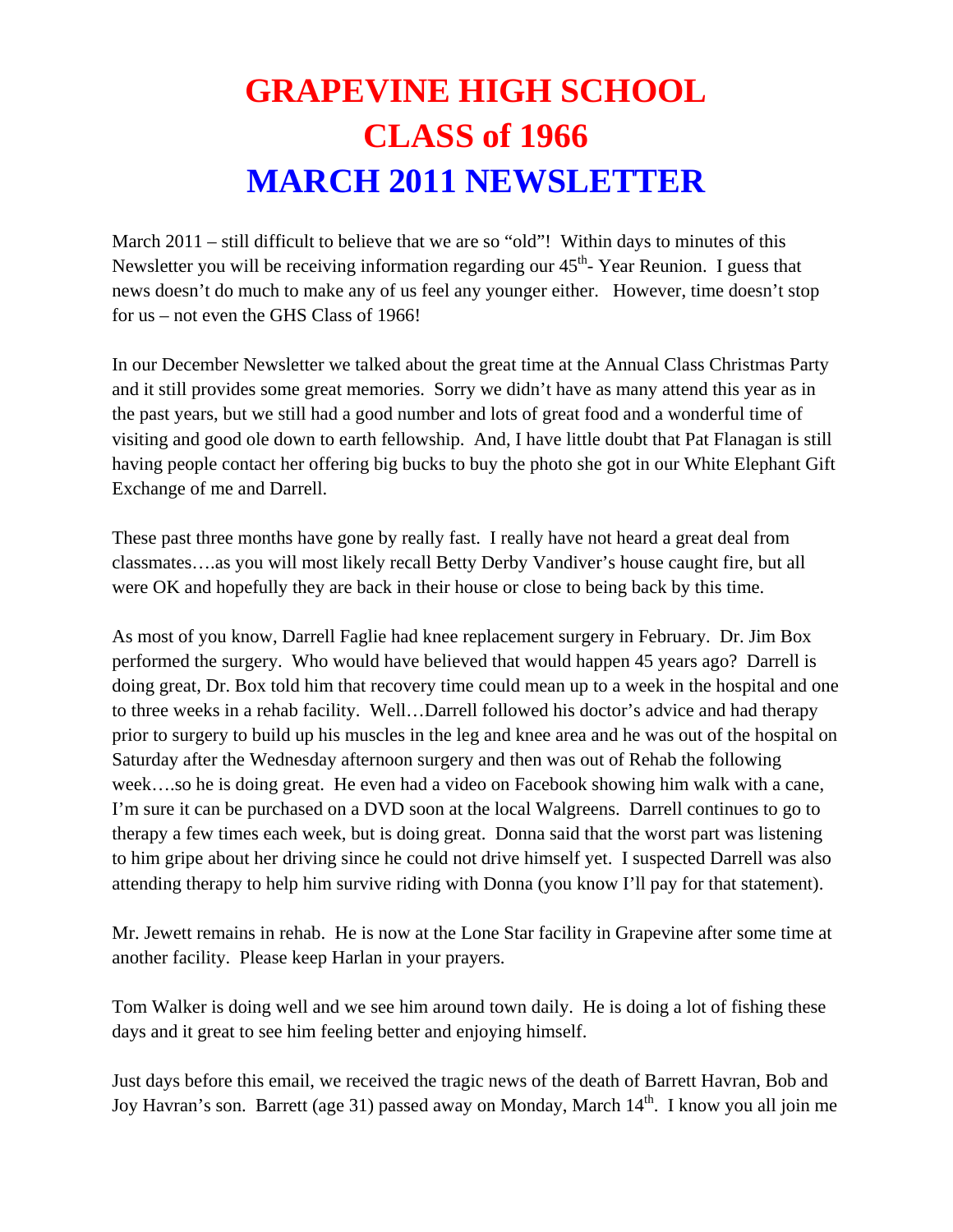## **GRAPEVINE HIGH SCHOOL CLASS of 1966 MARCH 2011 NEWSLETTER**

March 2011 – still difficult to believe that we are so "old"! Within days to minutes of this Newsletter you will be receiving information regarding our  $45<sup>th</sup>$ -Year Reunion. I guess that news doesn't do much to make any of us feel any younger either. However, time doesn't stop for us – not even the GHS Class of 1966!

In our December Newsletter we talked about the great time at the Annual Class Christmas Party and it still provides some great memories. Sorry we didn't have as many attend this year as in the past years, but we still had a good number and lots of great food and a wonderful time of visiting and good ole down to earth fellowship. And, I have little doubt that Pat Flanagan is still having people contact her offering big bucks to buy the photo she got in our White Elephant Gift Exchange of me and Darrell.

These past three months have gone by really fast. I really have not heard a great deal from classmates….as you will most likely recall Betty Derby Vandiver's house caught fire, but all were OK and hopefully they are back in their house or close to being back by this time.

As most of you know, Darrell Faglie had knee replacement surgery in February. Dr. Jim Box performed the surgery. Who would have believed that would happen 45 years ago? Darrell is doing great, Dr. Box told him that recovery time could mean up to a week in the hospital and one to three weeks in a rehab facility. Well…Darrell followed his doctor's advice and had therapy prior to surgery to build up his muscles in the leg and knee area and he was out of the hospital on Saturday after the Wednesday afternoon surgery and then was out of Rehab the following week….so he is doing great. He even had a video on Facebook showing him walk with a cane, I'm sure it can be purchased on a DVD soon at the local Walgreens. Darrell continues to go to therapy a few times each week, but is doing great. Donna said that the worst part was listening to him gripe about her driving since he could not drive himself yet. I suspected Darrell was also attending therapy to help him survive riding with Donna (you know I'll pay for that statement).

Mr. Jewett remains in rehab. He is now at the Lone Star facility in Grapevine after some time at another facility. Please keep Harlan in your prayers.

Tom Walker is doing well and we see him around town daily. He is doing a lot of fishing these days and it great to see him feeling better and enjoying himself.

Just days before this email, we received the tragic news of the death of Barrett Havran, Bob and Joy Havran's son. Barrett (age 31) passed away on Monday, March 14<sup>th</sup>. I know you all join me